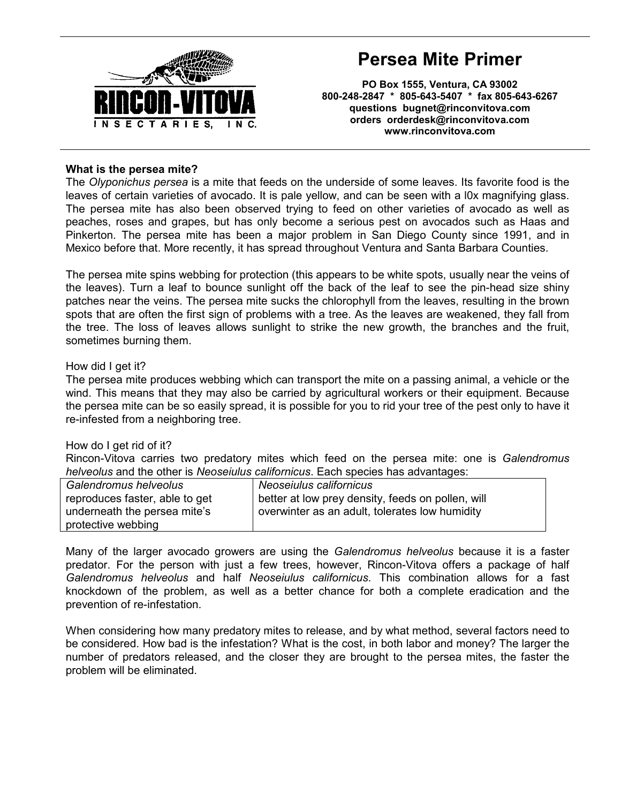

# Persea Mite Primer

PO Box 1555, Ventura, CA 93002 800-248-2847 \* 805-643-5407 \* fax 805-643-6267 questions bugnet@rinconvitova.com orders orderdesk@rinconvitova.com www.rinconvitova.com

## What is the persea mite?

The Olyponichus persea is a mite that feeds on the underside of some leaves. Its favorite food is the leaves of certain varieties of avocado. It is pale yellow, and can be seen with a l0x magnifying glass. The persea mite has also been observed trying to feed on other varieties of avocado as well as peaches, roses and grapes, but has only become a serious pest on avocados such as Haas and Pinkerton. The persea mite has been a major problem in San Diego County since 1991, and in Mexico before that. More recently, it has spread throughout Ventura and Santa Barbara Counties.

The persea mite spins webbing for protection (this appears to be white spots, usually near the veins of the leaves). Turn a leaf to bounce sunlight off the back of the leaf to see the pin-head size shiny patches near the veins. The persea mite sucks the chlorophyll from the leaves, resulting in the brown spots that are often the first sign of problems with a tree. As the leaves are weakened, they fall from the tree. The loss of leaves allows sunlight to strike the new growth, the branches and the fruit, sometimes burning them.

### How did I get it?

The persea mite produces webbing which can transport the mite on a passing animal, a vehicle or the wind. This means that they may also be carried by agricultural workers or their equipment. Because the persea mite can be so easily spread, it is possible for you to rid your tree of the pest only to have it re-infested from a neighboring tree.

### How do I get rid of it?

Rincon-Vitova carries two predatory mites which feed on the persea mite: one is Galendromus helveolus and the other is Neoseiulus californicus. Each species has advantages:

| Galendromus helveolus          | Neoseiulus californicus                           |
|--------------------------------|---------------------------------------------------|
| reproduces faster, able to get | better at low prey density, feeds on pollen, will |
| underneath the persea mite's   | overwinter as an adult, tolerates low humidity    |
| protective webbing             |                                                   |

Many of the larger avocado growers are using the Galendromus helveolus because it is a faster predator. For the person with just a few trees, however, Rincon-Vitova offers a package of half Galendromus helveolus and half Neoseiulus californicus. This combination allows for a fast knockdown of the problem, as well as a better chance for both a complete eradication and the prevention of re-infestation.

When considering how many predatory mites to release, and by what method, several factors need to be considered. How bad is the infestation? What is the cost, in both labor and money? The larger the number of predators released, and the closer they are brought to the persea mites, the faster the problem will be eliminated.